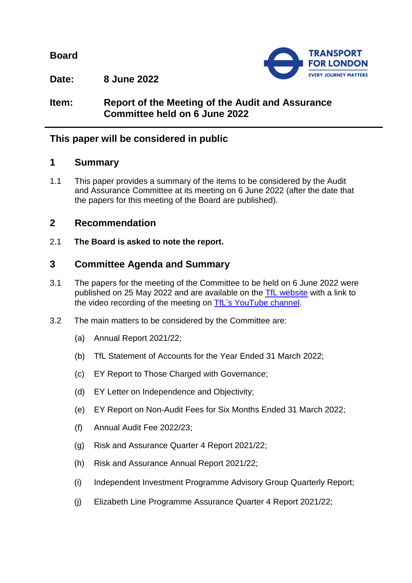**Board**



**Date: 8 June 2022**

# **Item: Report of the Meeting of the Audit and Assurance Committee held on 6 June 2022**

# **This paper will be considered in public**

## **1 Summary**

1.1 This paper provides a summary of the items to be considered by the Audit and Assurance Committee at its meeting on 6 June 2022 (after the date that the papers for this meeting of the Board are published).

## **2 Recommendation**

2.1 **The Board is asked to note the report.**

## **3 Committee Agenda and Summary**

- 3.1 The papers for the meeting of the Committee to be held on 6 June 2022 were published on 25 May 2022 and are available on the [TfL website](https://board.tfl.gov.uk/uuCoverPage.aspx?bcr=1) with a link to the video recording of the meeting on [TfL's YouTube channel.](https://www.youtube.com/playlist?list=PLtnlusA0Zoggk4qvN68OcnD9k_7B8cY_d)
- 3.2 The main matters to be considered by the Committee are:
	- (a) Annual Report 2021/22;
	- (b) TfL Statement of Accounts for the Year Ended 31 March 2022;
	- (c) EY Report to Those Charged with Governance;
	- (d) EY Letter on Independence and Objectivity;
	- (e) EY Report on Non-Audit Fees for Six Months Ended 31 March 2022;
	- (f) Annual Audit Fee 2022/23;
	- (g) Risk and Assurance Quarter 4 Report 2021/22;
	- (h) Risk and Assurance Annual Report 2021/22;
	- (i) Independent Investment Programme Advisory Group Quarterly Report;
	- (j) Elizabeth Line Programme Assurance Quarter 4 Report 2021/22;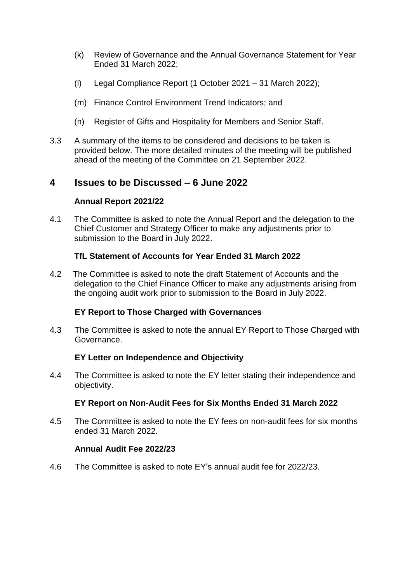- (k) Review of Governance and the Annual Governance Statement for Year Ended 31 March 2022;
- (l) Legal Compliance Report (1 October 2021 31 March 2022);
- (m) Finance Control Environment Trend Indicators; and
- (n) Register of Gifts and Hospitality for Members and Senior Staff.
- 3.3 A summary of the items to be considered and decisions to be taken is provided below. The more detailed minutes of the meeting will be published ahead of the meeting of the Committee on 21 September 2022.

## **4 Issues to be Discussed – 6 June 2022**

### **Annual Report 2021/22**

4.1 The Committee is asked to note the Annual Report and the delegation to the Chief Customer and Strategy Officer to make any adjustments prior to submission to the Board in July 2022.

## **TfL Statement of Accounts for Year Ended 31 March 2022**

4.2 The Committee is asked to note the draft Statement of Accounts and the delegation to the Chief Finance Officer to make any adjustments arising from the ongoing audit work prior to submission to the Board in July 2022.

### **EY Report to Those Charged with Governances**

4.3 The Committee is asked to note the annual EY Report to Those Charged with Governance.

### **EY Letter on Independence and Objectivity**

4.4 The Committee is asked to note the EY letter stating their independence and objectivity.

### **EY Report on Non-Audit Fees for Six Months Ended 31 March 2022**

4.5 The Committee is asked to note the EY fees on non-audit fees for six months ended 31 March 2022.

### **Annual Audit Fee 2022/23**

4.6 The Committee is asked to note EY's annual audit fee for 2022/23.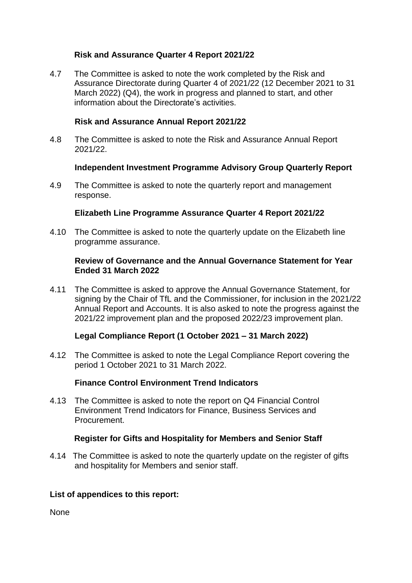## **Risk and Assurance Quarter 4 Report 2021/22**

4.7 The Committee is asked to note the work completed by the Risk and Assurance Directorate during Quarter 4 of 2021/22 (12 December 2021 to 31 March 2022) (Q4), the work in progress and planned to start, and other information about the Directorate's activities.

## **Risk and Assurance Annual Report 2021/22**

4.8 The Committee is asked to note the Risk and Assurance Annual Report 2021/22.

## **Independent Investment Programme Advisory Group Quarterly Report**

4.9 The Committee is asked to note the quarterly report and management response.

## **Elizabeth Line Programme Assurance Quarter 4 Report 2021/22**

4.10 The Committee is asked to note the quarterly update on the Elizabeth line programme assurance.

### **Review of Governance and the Annual Governance Statement for Year Ended 31 March 2022**

4.11 The Committee is asked to approve the Annual Governance Statement, for signing by the Chair of TfL and the Commissioner, for inclusion in the 2021/22 Annual Report and Accounts. It is also asked to note the progress against the 2021/22 improvement plan and the proposed 2022/23 improvement plan.

## **Legal Compliance Report (1 October 2021 – 31 March 2022)**

4.12 The Committee is asked to note the Legal Compliance Report covering the period 1 October 2021 to 31 March 2022.

### **Finance Control Environment Trend Indicators**

4.13 The Committee is asked to note the report on Q4 Financial Control Environment Trend Indicators for Finance, Business Services and Procurement.

### **Register for Gifts and Hospitality for Members and Senior Staff**

4.14 The Committee is asked to note the quarterly update on the register of gifts and hospitality for Members and senior staff.

### **List of appendices to this report:**

None